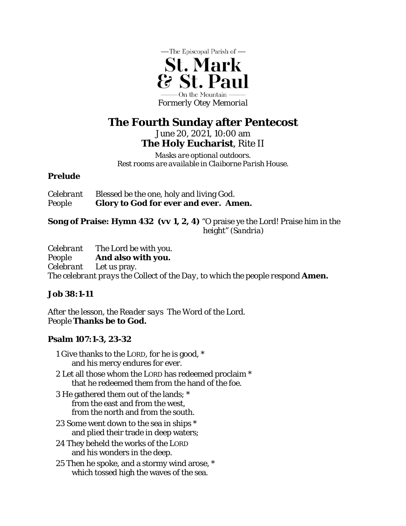

# **The Fourth Sunday after Pentecost**

June 20, 2021, 10:00 am **The Holy Eucharist**, Rite II

*Masks are optional outdoors. Rest rooms are available in Claiborne Parish House.*

# **Prelude**

| <i>Celebrant</i> | Blessed be the one, holy and living God.     |
|------------------|----------------------------------------------|
| People           | <b>Glory to God for ever and ever. Amen.</b> |

**Song of Praise: Hymn 432** *(vv 1, 2, 4)* "O praise ye the Lord! Praise him in the height" *(Sandria)* 

*Celebrant* The Lord be with you. *People* **And also with you.** *Celebrant* Let us pray. *The celebrant prays the Collect of the Day, to which the people respond* **Amen.** 

# **Job 38:1-11**

*After the lesson, the Reader says* The Word of the Lord. *People* **Thanks be to God.** 

# **Psalm 107:1-3, 23-32**

- 1 Give thanks to the LORD, for he is good, \* and his mercy endures for ever.
- 2 Let all those whom the LORD has redeemed proclaim \* that he redeemed them from the hand of the foe.
- 3 He gathered them out of the lands; \* from the east and from the west, from the north and from the south.
- 23 Some went down to the sea in ships \* and plied their trade in deep waters;
- 24 They beheld the works of the LORD and his wonders in the deep.
- 25 Then he spoke, and a stormy wind arose, \* which tossed high the waves of the sea.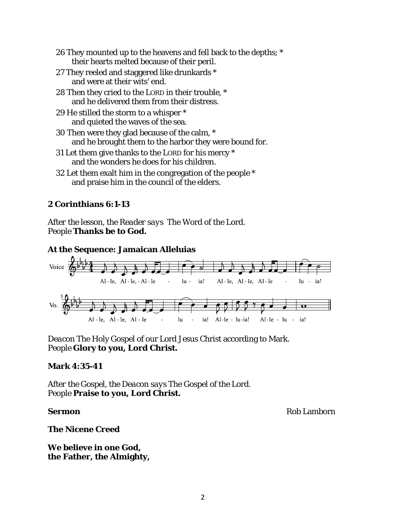- 26 They mounted up to the heavens and fell back to the depths; \* their hearts melted because of their peril.
- 27 They reeled and staggered like drunkards \* and were at their wits' end.
- 28 Then they cried to the LORD in their trouble, \* and he delivered them from their distress.
- 29 He stilled the storm to a whisper \* and quieted the waves of the sea.
- 30 Then were they glad because of the calm, \* and he brought them to the harbor they were bound for.
- 31 Let them give thanks to the LORD for his mercy \* and the wonders he does for his children.
- 32 Let them exalt him in the congregation of the people \* and praise him in the council of the elders.

# **2 Corinthians 6:1-13**

*After the lesson, the Reader says* The Word of the Lord. *People* **Thanks be to God.** 

# **At the Sequence: Jamaican Alleluias**



*Deacon* The Holy Gospel of our Lord Jesus Christ according to Mark. *People* **Glory to you, Lord Christ.** 

### **Mark 4:35-41**

*After the Gospel, the Deacon says* The Gospel of the Lord. *People* **Praise to you, Lord Christ.** 

**Sermon** Rob Lamborn **Rob Lamborn** Rob Lamborn **Rob Lamborn** 

**The Nicene Creed** 

**We believe in one God, the Father, the Almighty,**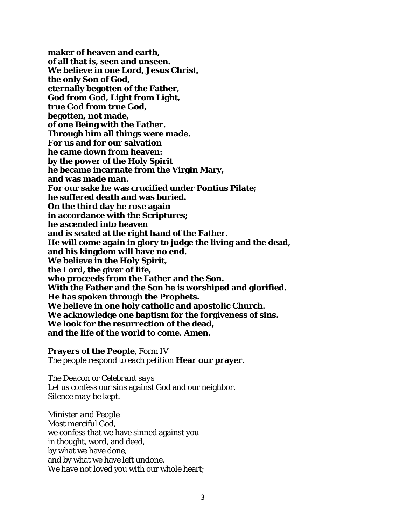**maker of heaven and earth, of all that is, seen and unseen. We believe in one Lord, Jesus Christ, the only Son of God, eternally begotten of the Father, God from God, Light from Light, true God from true God, begotten, not made, of one Being with the Father. Through him all things were made. For us and for our salvation he came down from heaven: by the power of the Holy Spirit he became incarnate from the Virgin Mary, and was made man. For our sake he was crucified under Pontius Pilate; he suffered death and was buried. On the third day he rose again in accordance with the Scriptures; he ascended into heaven and is seated at the right hand of the Father. He will come again in glory to judge the living and the dead, and his kingdom will have no end. We believe in the Holy Spirit, the Lord, the giver of life, who proceeds from the Father and the Son. With the Father and the Son he is worshiped and glorified. He has spoken through the Prophets. We believe in one holy catholic and apostolic Church. We acknowledge one baptism for the forgiveness of sins. We look for the resurrection of the dead, and the life of the world to come. Amen.** 

**Prayers of the People**, Form IV *The people respond to each petition* **Hear our prayer.** 

*The Deacon or Celebrant says*  Let us confess our sins against God and our neighbor. *Silence may be kept.* 

*Minister and People*  Most merciful God, we confess that we have sinned against you in thought, word, and deed, by what we have done, and by what we have left undone. We have not loved you with our whole heart;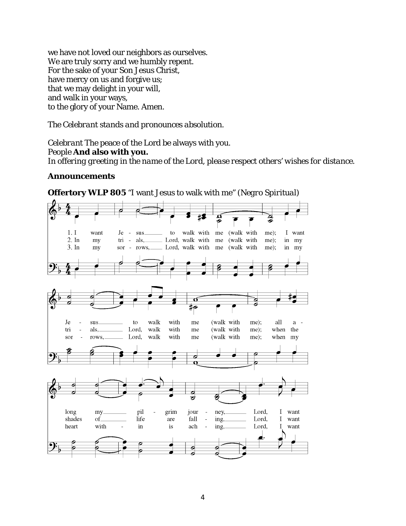we have not loved our neighbors as ourselves. We are truly sorry and we humbly repent. For the sake of your Son Jesus Christ, have mercy on us and forgive us; that we may delight in your will, and walk in your ways, to the glory of your Name. Amen.

### *The Celebrant stands and pronounces absolution.*

*Celebrant* The peace of the Lord be always with you. *People* **And also with you.**  *In offering greeting in the name of the Lord, please respect others' wishes for distance.* 

#### **Announcements**



**Offertory WLP 805** "I want Jesus to walk with me" *(Negro Spiritual)*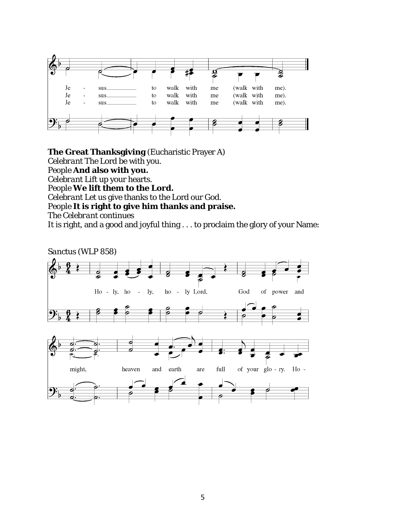

**The Great Thanksgiving** (Eucharistic Prayer A)

*Celebrant* The Lord be with you.

*People* **And also with you.** 

*Celebrant* Lift up your hearts.

*People* **We lift them to the Lord.** 

*Celebrant* Let us give thanks to the Lord our God.

*People* **It is right to give him thanks and praise.** 

*The Celebrant continues* 

It is right, and a good and joyful thing . . . to proclaim the glory of your Name:

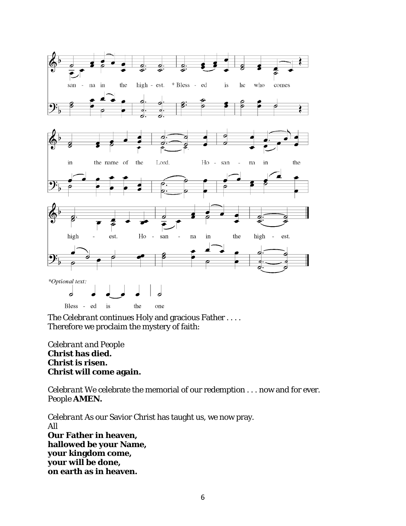

*The Celebrant continues* Holy and gracious Father . . . . Therefore we proclaim the mystery of faith:

# *Celebrant and People*  **Christ has died. Christ is risen. Christ will come again.**

*Celebrant* We celebrate the memorial of our redemption . . . now and for ever. *People* **AMEN.** 

*Celebrant* As our Savior Christ has taught us, we now pray. *All*  **Our Father in heaven, hallowed be your Name, your kingdom come, your will be done, on earth as in heaven.**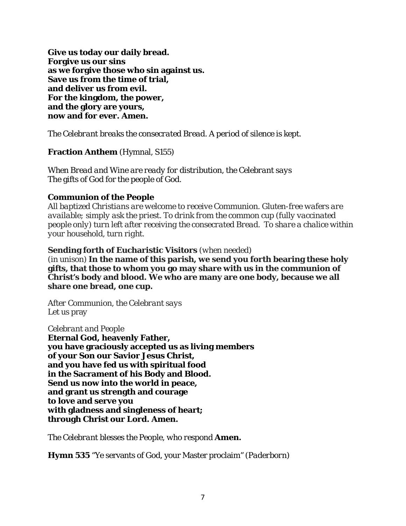**Give us today our daily bread. Forgive us our sins as we forgive those who sin against us. Save us from the time of trial, and deliver us from evil. For the kingdom, the power, and the glory are yours, now and for ever. Amen.** 

*The Celebrant breaks the consecrated Bread. A period of silence is kept.* 

**Fraction Anthem** (Hymnal, S155)

*When Bread and Wine are ready for distribution, the Celebrant says*  The gifts of God for the people of God.

### **Communion of the People**

*All baptized Christians are welcome to receive Communion. Gluten-free wafers are available; simply ask the priest. To drink from the common cup (fully vaccinated people only) turn left after receiving the consecrated Bread. To share a chalice within your household, turn right.*

#### **Sending forth of Eucharistic Visitors** *(when needed)*

(in unison) **In the name of this parish, we send you forth bearing these holy gifts, that those to whom you go may share with us in the communion of Christ's body and blood. We who are many are one body, because we all share one bread, one cup.** 

*After Communion, the Celebrant says*  Let us pray

#### *Celebrant and People*

**Eternal God, heavenly Father, you have graciously accepted us as living members of your Son our Savior Jesus Christ, and you have fed us with spiritual food in the Sacrament of his Body and Blood. Send us now into the world in peace, and grant us strength and courage to love and serve you with gladness and singleness of heart; through Christ our Lord. Amen.** 

*The Celebrant blesses the People, who respond* **Amen.** 

**Hymn 535** "Ye servants of God, your Master proclaim*" (Paderborn)*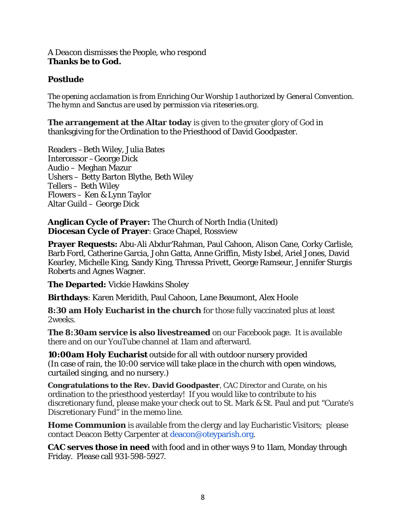#### *A Deacon dismisses the People, who respond*  **Thanks be to God.**

# **Postlude**

*The opening acclamation is from* Enriching Our Worship 1 *authorized by General Convention. The hymn and* Sanctus *are used by permission via riteseries.org.* 

**The arrangement at the Altar today** is given to the greater glory of God in thanksgiving for the Ordination to the Priesthood of David Goodpaster.

Readers –Beth Wiley, Julia Bates Intercessor –George Dick Audio – Meghan Mazur Ushers – Betty Barton Blythe, Beth Wiley Tellers – Beth Wiley Flowers – Ken & Lynn Taylor Altar Guild – George Dick

**Anglican Cycle of Prayer:** The Church of North India (United) **Diocesan Cycle of Prayer**: Grace Chapel, Rossview

**Prayer Requests:** Abu-Ali Abdur'Rahman, Paul Cahoon, Alison Cane, Corky Carlisle, Barb Ford, Catherine Garcia, John Gatta, Anne Griffin, Misty Isbel, Ariel Jones, David Kearley, Michelle King, Sandy King, Thressa Privett, George Ramseur, Jennifer Sturgis Roberts and Agnes Wagner.

**The Departed:** Vickie Hawkins Sholey

**Birthdays**: Karen Meridith, Paul Cahoon, Lane Beaumont, Alex Hoole

**8:30 am Holy Eucharist in the church** for those fully vaccinated plus at least 2weeks.

**The 8:30am service is also livestreamed** on our Facebook page. It is available there and on our YouTube channel at 11am and afterward.

**10:00am Holy Eucharist** outside for all with outdoor nursery provided (In case of rain, the 10:00 service will take place in the church with open windows, curtailed singing, and no nursery.)

**Congratulations to the Rev. David Goodpaster**, CAC Director and Curate, on his ordination to the priesthood yesterday! If you would like to contribute to his discretionary fund, please make your check out to St. Mark & St. Paul and put "Curate's Discretionary Fund" in the memo line.

**Home Communion** is available from the clergy and lay Eucharistic Visitors; please contact Deacon Betty Carpenter at deacon@oteyparish.org.

**CAC serves those in need** with food and in other ways 9 to 11am, Monday through Friday. Please call 931-598-5927.